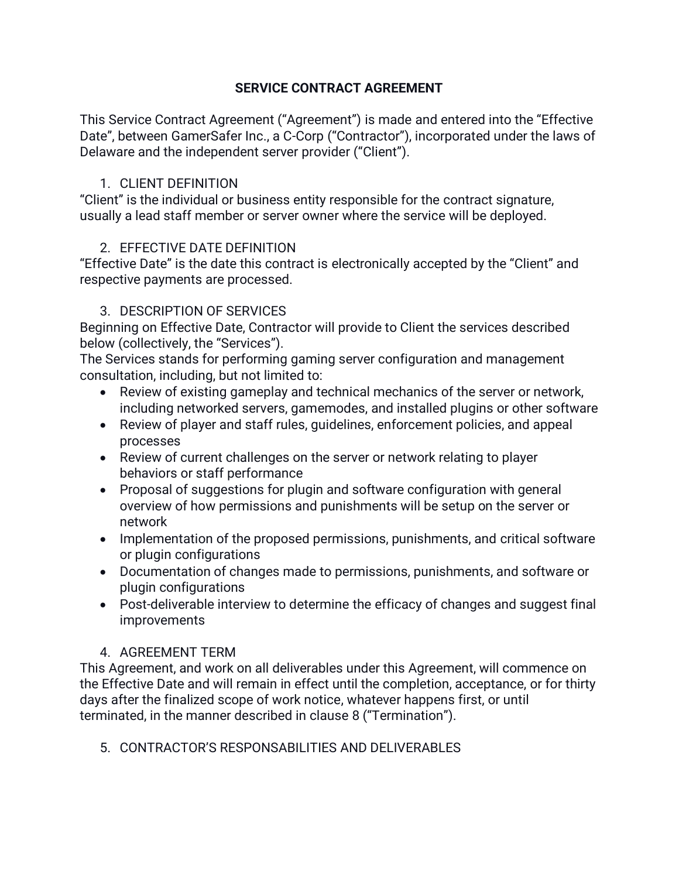### **SERVICE CONTRACT AGREEMENT**

This Service Contract Agreement ("Agreement") is made and entered into the "Effective Date", between GamerSafer Inc., a C-Corp ("Contractor"), incorporated under the laws of Delaware and the independent server provider ("Client").

### 1. CLIENT DEFINITION

"Client" is the individual or business entity responsible for the contract signature, usually a lead staff member or server owner where the service will be deployed.

## 2. EFFECTIVE DATE DEFINITION

"Effective Date" is the date this contract is electronically accepted by the "Client" and respective payments are processed.

### 3. DESCRIPTION OF SERVICES

Beginning on Effective Date, Contractor will provide to Client the services described below (collectively, the "Services").

The Services stands for performing gaming server configuration and management consultation, including, but not limited to:

- Review of existing gameplay and technical mechanics of the server or network, including networked servers, gamemodes, and installed plugins or other software
- Review of player and staff rules, guidelines, enforcement policies, and appeal processes
- Review of current challenges on the server or network relating to player behaviors or staff performance
- Proposal of suggestions for plugin and software configuration with general overview of how permissions and punishments will be setup on the server or network
- Implementation of the proposed permissions, punishments, and critical software or plugin configurations
- Documentation of changes made to permissions, punishments, and software or plugin configurations
- Post-deliverable interview to determine the efficacy of changes and suggest final improvements

## 4. AGREEMENT TERM

This Agreement, and work on all deliverables under this Agreement, will commence on the Effective Date and will remain in effect until the completion, acceptance, or for thirty days after the finalized scope of work notice, whatever happens first, or until terminated, in the manner described in clause 8 ("Termination").

5. CONTRACTOR'S RESPONSABILITIES AND DELIVERABLES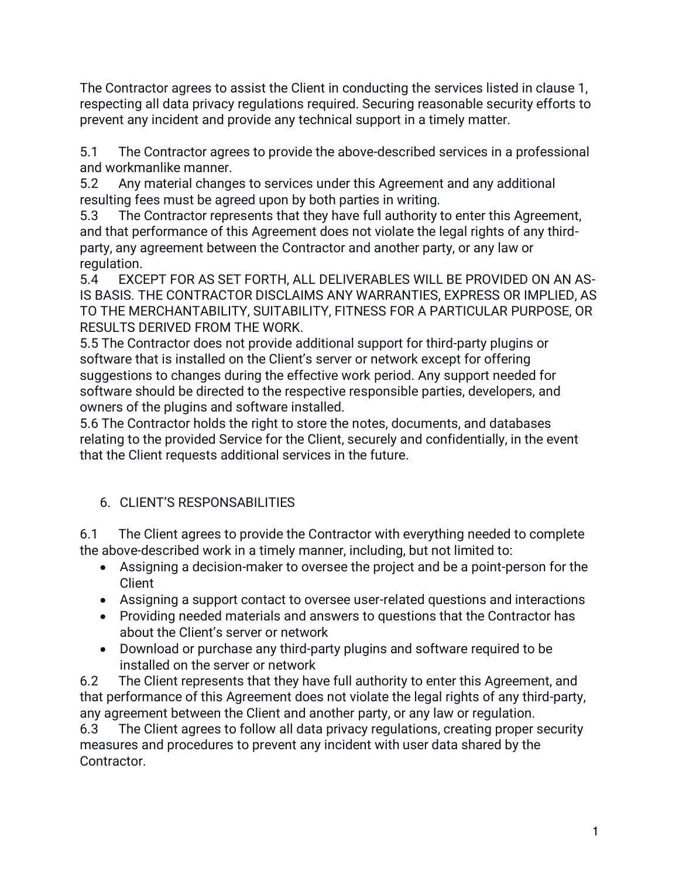The Contractor agrees to assist the Client in conducting the services listed in clause 1, respecting all data privacy regulations required. Securing reasonable security efforts to prevent any incident and provide any technical support in a timely matter.

5.1The Contractor agrees to provide the above-described services in a professional and workmanlike manner.

5.2Any material changes to services under this Agreement and any additional resulting fees must be agreed upon by both parties in writing.

5.3 The Contractor represents that they have full authority to enter this Agreement, and that performance of this Agreement does not violate the legal rights of any thirdparty, any agreement between the Contractor and another party, or any law or regulation.

5.4 EXCEPT FOR AS SET FORTH, ALL DELIVERABLES WILL BE PROVIDED ON AN AS-IS BASIS. THE CONTRACTOR DISCLAIMS ANY WARRANTIES, EXPRESS OR IMPLIED, AS TO THE MERCHANTABILITY, SUITABILITY, FITNESS FOR A PARTICULAR PURPOSE, OR RESULTS DERIVED FROM THE WORK.

5.5 The Contractor does not provide additional support for third-party plugins or software that is installed on the Client's server or network except for offering suggestions to changes during the effective work period. Any support needed for software should be directed to the respective responsible parties, developers, and owners of the plugins and software installed.

5.6 The Contractor holds the right to store the notes, documents, and databases relating to the provided Service for the Client, securely and confidentially, in the event that the Client requests additional services in the future.

# 6. CLIENT'S RESPONSABILITIES

6.1The Client agrees to provide the Contractor with everything needed to complete the above-described work in a timely manner, including, but not limited to:

- Assigning a decision-maker to oversee the project and be a point-person for the **Client**
- Assigning a support contact to oversee user-related questions and interactions
- Providing needed materials and answers to questions that the Contractor has about the Client's server or network
- Download or purchase any third-party plugins and software required to be installed on the server or network

6.2 The Client represents that they have full authority to enter this Agreement, and that performance of this Agreement does not violate the legal rights of any third-party, any agreement between the Client and another party, or any law or regulation.

6.3 The Client agrees to follow all data privacy regulations, creating proper security measures and procedures to prevent any incident with user data shared by the Contractor.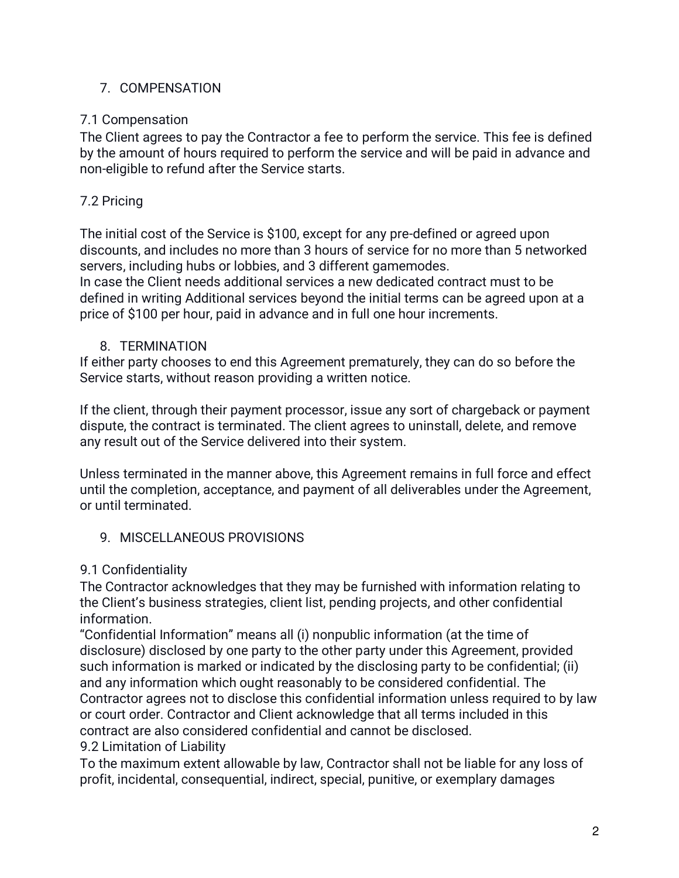## 7. COMPENSATION

## 7.1 Compensation

The Client agrees to pay the Contractor a fee to perform the service. This fee is defined by the amount of hours required to perform the service and will be paid in advance and non-eligible to refund after the Service starts.

# 7.2 Pricing

The initial cost of the Service is \$100, except for any pre-defined or agreed upon discounts, and includes no more than 3 hours of service for no more than 5 networked servers, including hubs or lobbies, and 3 different gamemodes.

In case the Client needs additional services a new dedicated contract must to be defined in writing Additional services beyond the initial terms can be agreed upon at a price of \$100 per hour, paid in advance and in full one hour increments.

## 8. TERMINATION

If either party chooses to end this Agreement prematurely, they can do so before the Service starts, without reason providing a written notice.

If the client, through their payment processor, issue any sort of chargeback or payment dispute, the contract is terminated. The client agrees to uninstall, delete, and remove any result out of the Service delivered into their system.

Unless terminated in the manner above, this Agreement remains in full force and effect until the completion, acceptance, and payment of all deliverables under the Agreement, or until terminated.

## 9. MISCELLANEOUS PROVISIONS

## 9.1 Confidentiality

The Contractor acknowledges that they may be furnished with information relating to the Client's business strategies, client list, pending projects, and other confidential information.

"Confidential Information" means all (i) nonpublic information (at the time of disclosure) disclosed by one party to the other party under this Agreement, provided such information is marked or indicated by the disclosing party to be confidential; (ii) and any information which ought reasonably to be considered confidential. The Contractor agrees not to disclose this confidential information unless required to by law or court order. Contractor and Client acknowledge that all terms included in this contract are also considered confidential and cannot be disclosed. 9.2 Limitation of Liability

To the maximum extent allowable by law, Contractor shall not be liable for any loss of profit, incidental, consequential, indirect, special, punitive, or exemplary damages